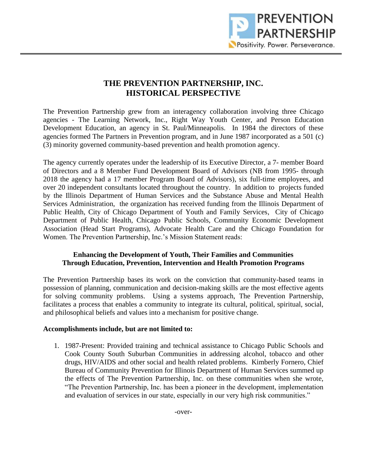

## **THE PREVENTION PARTNERSHIP, INC. HISTORICAL PERSPECTIVE**

The Prevention Partnership grew from an interagency collaboration involving three Chicago agencies - The Learning Network, Inc., Right Way Youth Center, and Person Education Development Education, an agency in St. Paul/Minneapolis. In 1984 the directors of these agencies formed The Partners in Prevention program, and in June 1987 incorporated as a 501 (c) (3) minority governed community-based prevention and health promotion agency.

The agency currently operates under the leadership of its Executive Director, a 7- member Board of Directors and a 8 Member Fund Development Board of Advisors (NB from 1995- through 2018 the agency had a 17 member Program Board of Advisors), six full-time employees, and over 20 independent consultants located throughout the country. In addition to projects funded by the Illinois Department of Human Services and the Substance Abuse and Mental Health Services Administration, the organization has received funding from the Illinois Department of Public Health, City of Chicago Department of Youth and Family Services, City of Chicago Department of Public Health, Chicago Public Schools, Community Economic Development Association (Head Start Programs), Advocate Health Care and the Chicago Foundation for Women. The Prevention Partnership, Inc.'s Mission Statement reads:

## **Enhancing the Development of Youth, Their Families and Communities Through Education, Prevention, Intervention and Health Promotion Programs**

The Prevention Partnership bases its work on the conviction that community-based teams in possession of planning, communication and decision-making skills are the most effective agents for solving community problems. Using a systems approach, The Prevention Partnership, facilitates a process that enables a community to integrate its cultural, political, spiritual, social, and philosophical beliefs and values into a mechanism for positive change.

## **Accomplishments include, but are not limited to:**

1. 1987-Present: Provided training and technical assistance to Chicago Public Schools and Cook County South Suburban Communities in addressing alcohol, tobacco and other drugs, HIV/AIDS and other social and health related problems. Kimberly Fornero, Chief Bureau of Community Prevention for Illinois Department of Human Services summed up the effects of The Prevention Partnership, Inc. on these communities when she wrote, "The Prevention Partnership, Inc. has been a pioneer in the development, implementation and evaluation of services in our state, especially in our very high risk communities."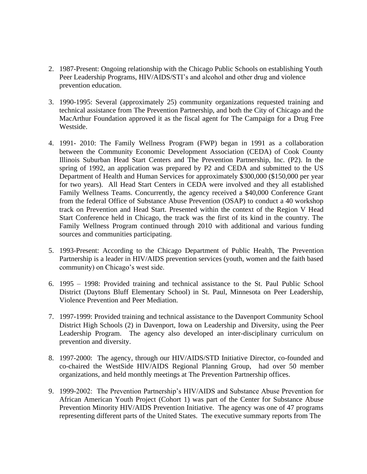- 2. 1987-Present: Ongoing relationship with the Chicago Public Schools on establishing Youth Peer Leadership Programs, HIV/AIDS/STI's and alcohol and other drug and violence prevention education.
- 3. 1990-1995: Several (approximately 25) community organizations requested training and technical assistance from The Prevention Partnership, and both the City of Chicago and the MacArthur Foundation approved it as the fiscal agent for The Campaign for a Drug Free Westside.
- 4. 1991- 2010: The Family Wellness Program (FWP) began in 1991 as a collaboration between the Community Economic Development Association (CEDA) of Cook County Illinois Suburban Head Start Centers and The Prevention Partnership, Inc. (P2). In the spring of 1992, an application was prepared by P2 and CEDA and submitted to the US Department of Health and Human Services for approximately \$300,000 (\$150,000 per year for two years). All Head Start Centers in CEDA were involved and they all established Family Wellness Teams. Concurrently, the agency received a \$40,000 Conference Grant from the federal Office of Substance Abuse Prevention (OSAP) to conduct a 40 workshop track on Prevention and Head Start. Presented within the context of the Region V Head Start Conference held in Chicago, the track was the first of its kind in the country. The Family Wellness Program continued through 2010 with additional and various funding sources and communities participating.
- 5. 1993-Present: According to the Chicago Department of Public Health, The Prevention Partnership is a leader in HIV/AIDS prevention services (youth, women and the faith based community) on Chicago's west side.
- 6. 1995 1998: Provided training and technical assistance to the St. Paul Public School District (Daytons Bluff Elementary School) in St. Paul, Minnesota on Peer Leadership, Violence Prevention and Peer Mediation.
- 7. 1997-1999: Provided training and technical assistance to the Davenport Community School District High Schools (2) in Davenport, Iowa on Leadership and Diversity, using the Peer Leadership Program. The agency also developed an inter-disciplinary curriculum on prevention and diversity.
- 8. 1997-2000: The agency, through our HIV/AIDS/STD Initiative Director, co-founded and co-chaired the WestSide HIV/AIDS Regional Planning Group, had over 50 member organizations, and held monthly meetings at The Prevention Partnership offices.
- 9. 1999-2002: The Prevention Partnership's HIV/AIDS and Substance Abuse Prevention for African American Youth Project (Cohort 1) was part of the Center for Substance Abuse Prevention Minority HIV/AIDS Prevention Initiative. The agency was one of 47 programs representing different parts of the United States. The executive summary reports from The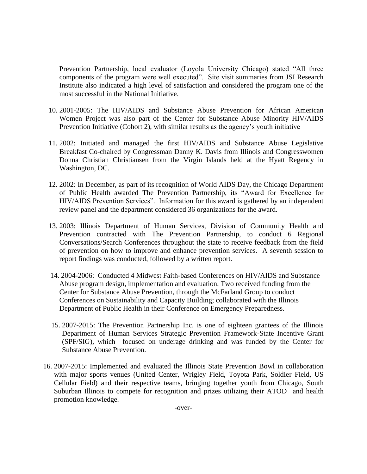Prevention Partnership, local evaluator (Loyola University Chicago) stated "All three components of the program were well executed". Site visit summaries from JSI Research Institute also indicated a high level of satisfaction and considered the program one of the most successful in the National Initiative.

- 10. 2001-2005: The HIV/AIDS and Substance Abuse Prevention for African American Women Project was also part of the Center for Substance Abuse Minority HIV/AIDS Prevention Initiative (Cohort 2), with similar results as the agency's youth initiative
- 11. 2002: Initiated and managed the first HIV/AIDS and Substance Abuse Legislative Breakfast Co-chaired by Congressman Danny K. Davis from Illinois and Congresswomen Donna Christian Christiansen from the Virgin Islands held at the Hyatt Regency in Washington, DC.
- 12. 2002: In December, as part of its recognition of World AIDS Day, the Chicago Department of Public Health awarded The Prevention Partnership, its "Award for Excellence for HIV/AIDS Prevention Services". Information for this award is gathered by an independent review panel and the department considered 36 organizations for the award.
- 13. 2003: Illinois Department of Human Services, Division of Community Health and Prevention contracted with The Prevention Partnership, to conduct 6 Regional Conversations/Search Conferences throughout the state to receive feedback from the field of prevention on how to improve and enhance prevention services. A seventh session to report findings was conducted, followed by a written report.
- 14. 2004-2006: Conducted 4 Midwest Faith-based Conferences on HIV/AIDS and Substance Abuse program design, implementation and evaluation. Two received funding from the Center for Substance Abuse Prevention, through the McFarland Group to conduct Conferences on Sustainability and Capacity Building; collaborated with the Illinois Department of Public Health in their Conference on Emergency Preparedness.
- 15. 2007-2015: The Prevention Partnership Inc. is one of eighteen grantees of the Illinois Department of Human Services Strategic Prevention Framework-State Incentive Grant (SPF/SIG), which focused on underage drinking and was funded by the Center for Substance Abuse Prevention.
- 16. 2007-2015: Implemented and evaluated the Illinois State Prevention Bowl in collaboration with major sports venues (United Center, Wrigley Field, Toyota Park, Soldier Field, US Cellular Field) and their respective teams, bringing together youth from Chicago, South Suburban Illinois to compete for recognition and prizes utilizing their ATOD and health promotion knowledge.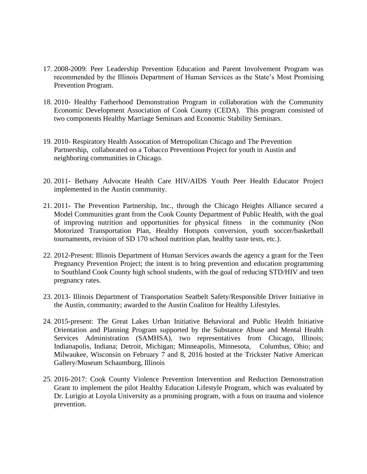- 17. 2008-2009: Peer Leadership Prevention Education and Parent Involvement Program was recommended by the Illinois Department of Human Services as the State's Most Promising Prevention Program.
- 18. 2010- Healthy Fatherhood Demonstration Program in collaboration with the Community Economic Development Association of Cook County (CEDA). This program consisted of two components Healthy Marriage Seminars and Economic Stability Seminars.
- 19. 2010- Respiratory Health Assocation of Metropolitan Chicago and The Prevention Partnership, collaborated on a Tobacco Preventioon Project for youth in Austin and neighboring communities in Chicago.
- 20. 2011- Bethany Advocate Health Care HIV/AIDS Youth Peer Health Educator Project implemented in the Austin community.
- 21. 2011- The Prevention Partnership, Inc., through the Chicago Heights Alliance secured a Model Communities grant from the Cook County Department of Public Health, with the goal of improving nutrition and opportunities for physical fitness in the community (Non Motorized Transportation Plan, Healthy Hotspots conversion, youth soccer/basketball tournaments, revision of SD 170 school nutrition plan, healthy taste tests, etc.).
- 22. 2012-Present: Illinois Department of Human Services awards the agency a grant for the Teen Pregnancy Prevention Project; the intent is to bring prevention and education programming to Southland Cook County high school students, with the goal of reducing STD/HIV and teen pregnancy rates.
- 23. 2013- Illinois Department of Transportation Seatbelt Safety/Responsible Driver Initiative in the Austin, community; awarded to the Austin Coaliton for Healthy Lifestyles.
- 24. 2015-present: The Great Lakes Urban Initiative Behavioral and Public Health Initiative Orientation and Planning Program supported by the Substance Abuse and Mental Health Services Administration (SAMHSA), two representatives from Chicago, Illinois; Indianapolis, Indiana; Detroit, Michigan; Minneapolis, Minnesota, Columbus, Ohio; and Milwaukee, Wisconsin on February 7 and 8, 2016 hosted at the Trickster Native American Gallery/Museum Schaumburg, Illinois
- 25. 2016-2017: Cook County Violence Prevention Intervention and Reduction Demonstration Grant to implement the pilot Healthy Education Lifestyle Program, which was evaluated by Dr. Lurigio at Loyola University as a promising program, with a fous on trauma and violence prevention.